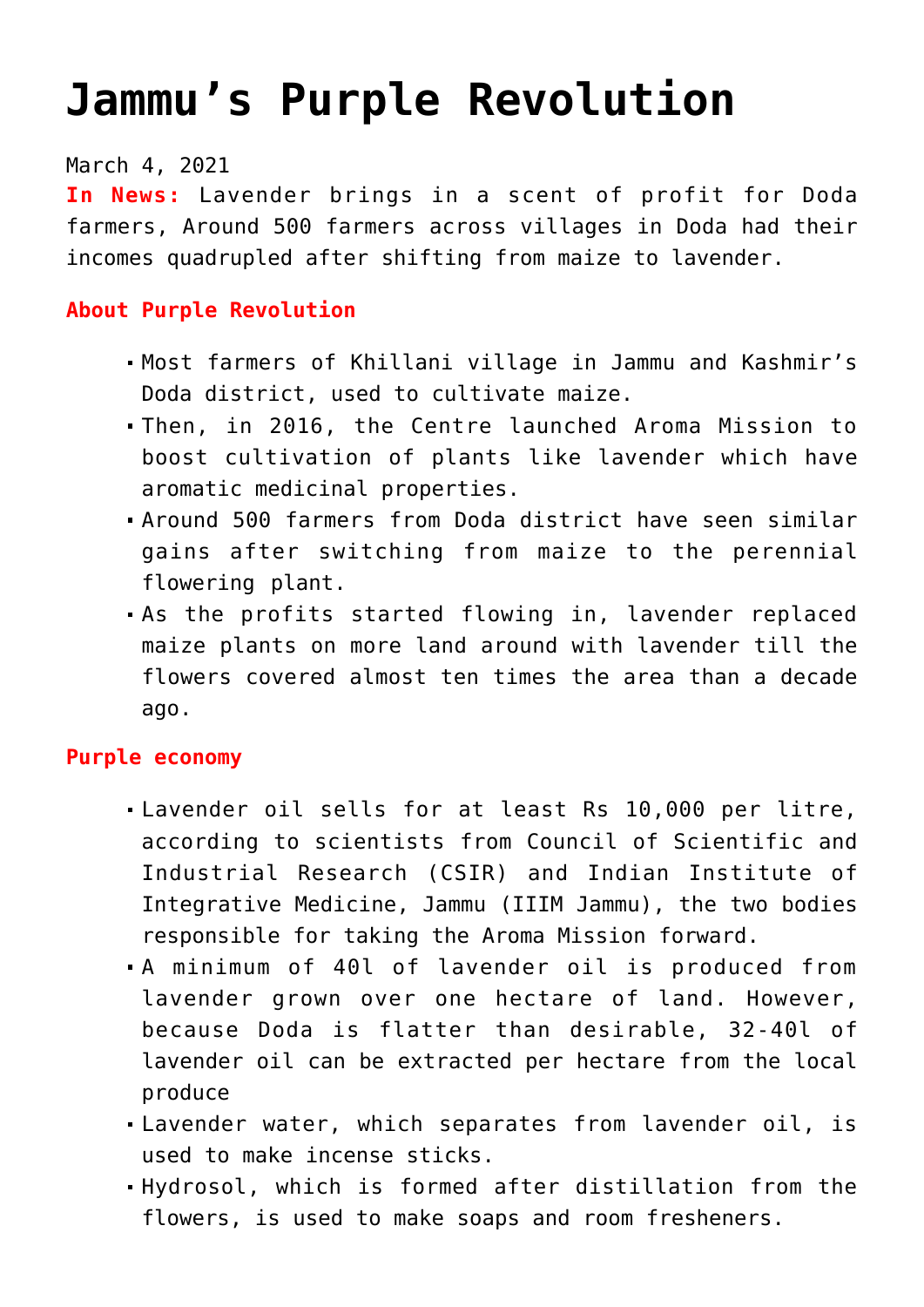# **[Jammu's Purple Revolution](https://journalsofindia.com/jammus-purple-revolution/)**

March 4, 2021

**In News:** Lavender brings in a scent of profit for Doda farmers, Around 500 farmers across villages in Doda had their incomes quadrupled after shifting from maize to lavender.

#### **About Purple Revolution**

- Most farmers of Khillani village in Jammu and Kashmir's Doda district, used to cultivate maize.
- Then, in 2016, the Centre launched Aroma Mission to boost cultivation of plants like lavender which have aromatic medicinal properties.
- Around 500 farmers from Doda district have seen similar gains after switching from maize to the perennial flowering plant.
- As the profits started flowing in, lavender replaced maize plants on more land around with lavender till the flowers covered almost ten times the area than a decade ago.

#### **Purple economy**

- Lavender oil sells for at least Rs 10,000 per litre, according to scientists from Council of Scientific and Industrial Research (CSIR) and Indian Institute of Integrative Medicine, Jammu (IIIM Jammu), the two bodies responsible for taking the Aroma Mission forward.
- A minimum of 40l of lavender oil is produced from lavender grown over one hectare of land. However, because Doda is flatter than desirable, 32-40l of lavender oil can be extracted per hectare from the local produce
- Lavender water, which separates from lavender oil, is used to make incense sticks.
- Hydrosol, which is formed after distillation from the flowers, is used to make soaps and room fresheners.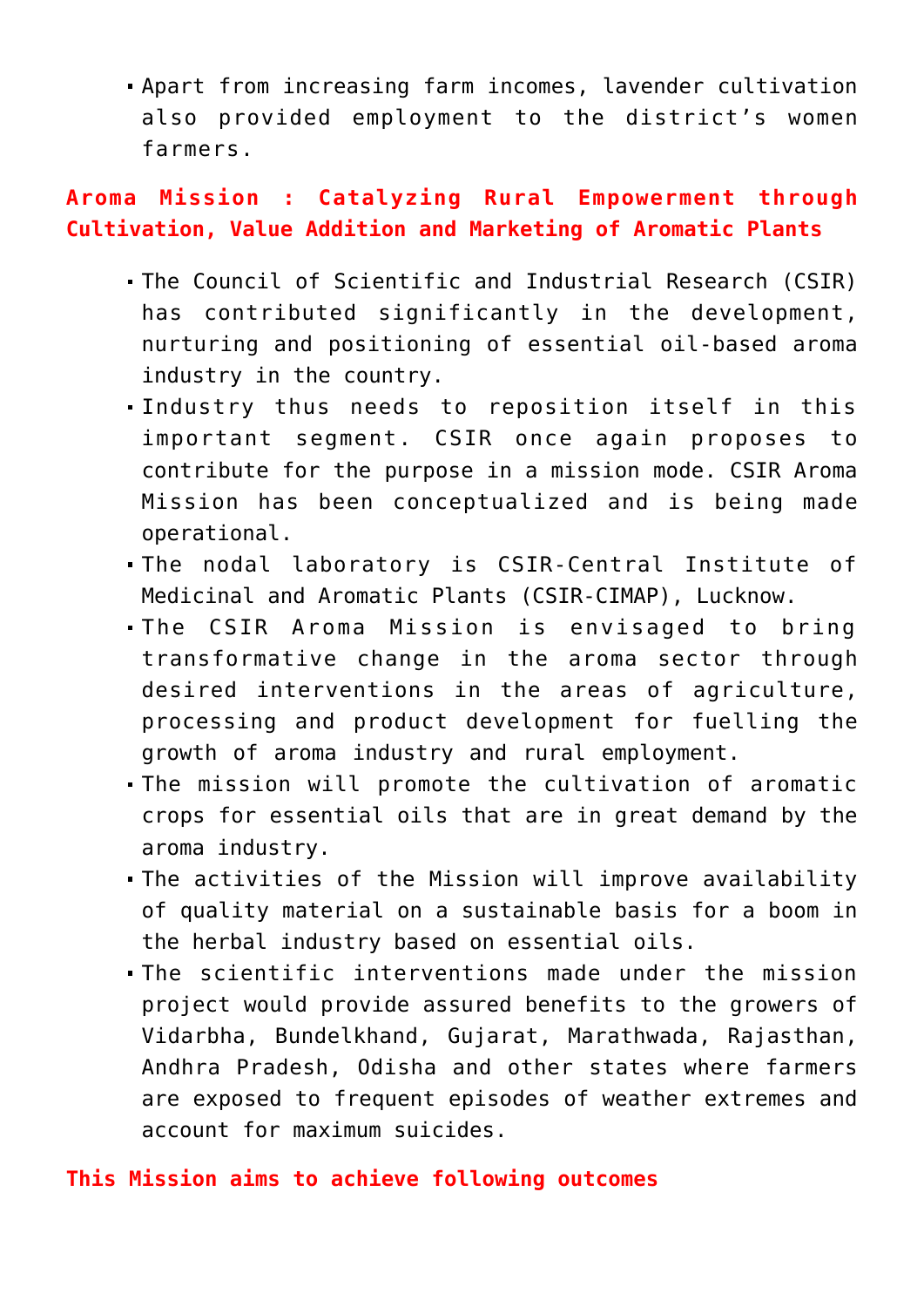Apart from increasing farm incomes, lavender cultivation also provided employment to the district's women farmers.

## **Aroma Mission : Catalyzing Rural Empowerment through Cultivation, Value Addition and Marketing of Aromatic Plants**

- The Council of Scientific and Industrial Research (CSIR) has contributed significantly in the development, nurturing and positioning of essential oil-based aroma industry in the country.
- Industry thus needs to reposition itself in this important segment. CSIR once again proposes to contribute for the purpose in a mission mode. CSIR Aroma Mission has been conceptualized and is being made operational.
- The nodal laboratory is CSIR-Central Institute of Medicinal and Aromatic Plants (CSIR-CIMAP), Lucknow.
- The CSIR Aroma Mission is envisaged to bring transformative change in the aroma sector through desired interventions in the areas of agriculture, processing and product development for fuelling the growth of aroma industry and rural employment.
- The mission will promote the cultivation of aromatic crops for essential oils that are in great demand by the aroma industry.
- The activities of the Mission will improve availability of quality material on a sustainable basis for a boom in the herbal industry based on essential oils.
- The scientific interventions made under the mission project would provide assured benefits to the growers of Vidarbha, Bundelkhand, Gujarat, Marathwada, Rajasthan, Andhra Pradesh, Odisha and other states where farmers are exposed to frequent episodes of weather extremes and account for maximum suicides.

### **This Mission aims to achieve following outcomes**